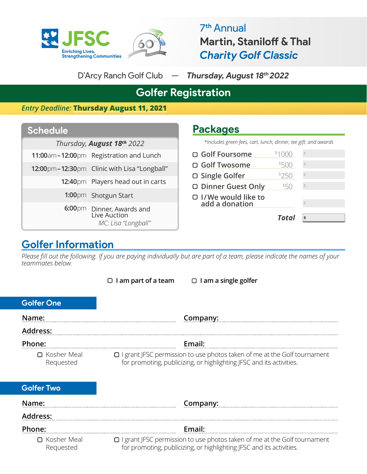

7**th** Annual **Martin, Staniloff & Thal** *Charity Golf Classic*

D'Arcy Ranch Golf Club — *Thursday, August 18th 2022*

**Packages**

# **Golfer Registration**

*Entry Deadline:* **Thursday August 11, 2021**

### **Schedule**

*Thursday*, **August 18<sup>th</sup>** 2022

- **11:00**am **12:00**pm Registration and Lunch
- **12:00** $pm$ –12:30 $pm$  Clinic with Lisa "Longball"
	- 12:40pm Players head out in carts

1:00pm Shotgun Start

**6:00** $pm$  Dinner, Awards and Live Auction *MC: Lisa "Longball"*

| *Includes green fees, cart, lunch, dinner, tee gift, and awards |              |   |
|-----------------------------------------------------------------|--------------|---|
| □ Golf Foursome                                                 | \$1000       |   |
| □ Golf Twosome                                                  | \$500        |   |
| □ Single Golfer                                                 | \$250        |   |
| □ Dinner Guest Only                                             | 550          |   |
| □ I/We would like to<br>add a donation                          |              |   |
|                                                                 | <b>Total</b> | Ś |

## **Golfer Information**

*Please fill out the following. If you are paying individually but are part of a team, please indicate the names of your teammates below.* 

|                                 | I am part of a team<br>$\Box$ I am a single golfer<br>□                                                                                                 |  |
|---------------------------------|---------------------------------------------------------------------------------------------------------------------------------------------------------|--|
| <b>Golfer One</b>               |                                                                                                                                                         |  |
| Name:                           | Company:                                                                                                                                                |  |
| Address:                        |                                                                                                                                                         |  |
| Phone:                          | Email:                                                                                                                                                  |  |
| $\Box$ Kosher Meal<br>Requested | $\Box$ I grant JFSC permission to use photos taken of me at the Golf tournament<br>for promoting, publicizing, or highlighting JFSC and its activities. |  |
| <b>Golfer Two</b>               |                                                                                                                                                         |  |
| Name:                           | Company:                                                                                                                                                |  |
| Address:                        |                                                                                                                                                         |  |
| Phone:                          | Email:                                                                                                                                                  |  |
| □ Kosher Meal<br>Requested      | $\Box$ I grant JFSC permission to use photos taken of me at the Golf tournament<br>for promoting, publicizing, or highlighting JFSC and its activities. |  |